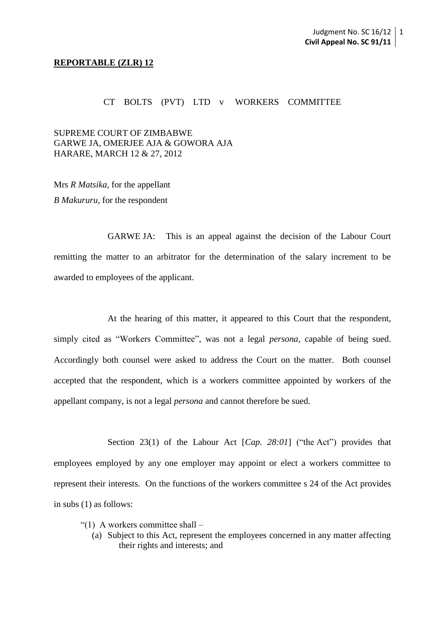## **REPORTABLE (ZLR) 12**

## CT BOLTS (PVT) LTD v WORKERS COMMITTEE

SUPREME COURT OF ZIMBABWE GARWE JA, OMERJEE AJA & GOWORA AJA HARARE, MARCH 12 & 27, 2012

Mrs *R Matsika*, for the appellant *B Makururu*, for the respondent

GARWE JA: This is an appeal against the decision of the Labour Court remitting the matter to an arbitrator for the determination of the salary increment to be awarded to employees of the applicant.

At the hearing of this matter, it appeared to this Court that the respondent, simply cited as "Workers Committee", was not a legal *persona*, capable of being sued. Accordingly both counsel were asked to address the Court on the matter. Both counsel accepted that the respondent, which is a workers committee appointed by workers of the appellant company, is not a legal *persona* and cannot therefore be sued.

Section 23(1) of the Labour Act [*Cap. 28:01*] ("the Act") provides that employees employed by any one employer may appoint or elect a workers committee to represent their interests. On the functions of the workers committee s 24 of the Act provides in subs (1) as follows:

- "(1) A workers committee shall  $-$ 
	- (a) Subject to this Act, represent the employees concerned in any matter affecting their rights and interests; and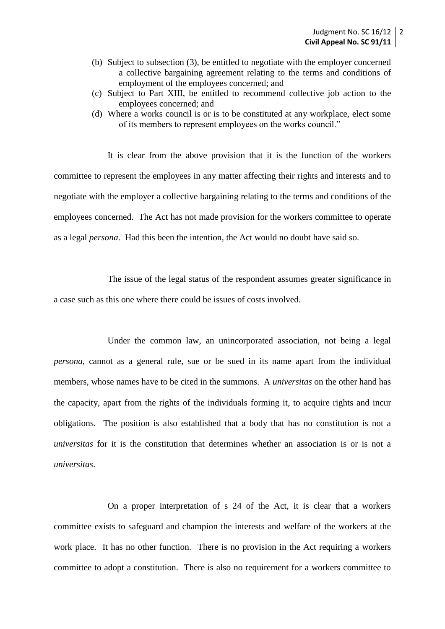- (b) Subject to subsection (3), be entitled to negotiate with the employer concerned a collective bargaining agreement relating to the terms and conditions of employment of the employees concerned; and
- (c) Subject to Part XIII, be entitled to recommend collective job action to the employees concerned; and
- (d) Where a works council is or is to be constituted at any workplace, elect some of its members to represent employees on the works council."

It is clear from the above provision that it is the function of the workers committee to represent the employees in any matter affecting their rights and interests and to negotiate with the employer a collective bargaining relating to the terms and conditions of the employees concerned. The Act has not made provision for the workers committee to operate as a legal *persona*. Had this been the intention, the Act would no doubt have said so.

The issue of the legal status of the respondent assumes greater significance in a case such as this one where there could be issues of costs involved.

Under the common law, an unincorporated association, not being a legal *persona*, cannot as a general rule, sue or be sued in its name apart from the individual members, whose names have to be cited in the summons. A *universitas* on the other hand has the capacity, apart from the rights of the individuals forming it, to acquire rights and incur obligations. The position is also established that a body that has no constitution is not a *universitas* for it is the constitution that determines whether an association is or is not a *universitas*.

On a proper interpretation of s 24 of the Act, it is clear that a workers committee exists to safeguard and champion the interests and welfare of the workers at the work place. It has no other function. There is no provision in the Act requiring a workers committee to adopt a constitution. There is also no requirement for a workers committee to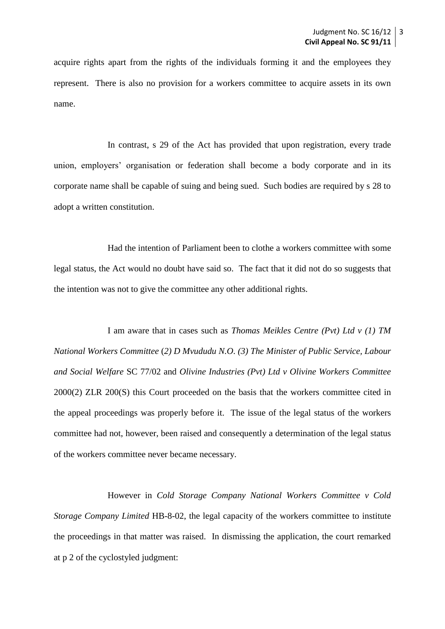acquire rights apart from the rights of the individuals forming it and the employees they represent. There is also no provision for a workers committee to acquire assets in its own name.

In contrast, s 29 of the Act has provided that upon registration, every trade union, employers' organisation or federation shall become a body corporate and in its corporate name shall be capable of suing and being sued. Such bodies are required by s 28 to adopt a written constitution.

Had the intention of Parliament been to clothe a workers committee with some legal status, the Act would no doubt have said so. The fact that it did not do so suggests that the intention was not to give the committee any other additional rights.

I am aware that in cases such as *Thomas Meikles Centre (Pvt) Ltd v (1) TM National Workers Committee* (*2) D Mvududu N.O. (3) The Minister of Public Service, Labour and Social Welfare* SC 77/02 and *Olivine Industries (Pvt) Ltd v Olivine Workers Committee* 2000(2) ZLR 200(S) this Court proceeded on the basis that the workers committee cited in the appeal proceedings was properly before it. The issue of the legal status of the workers committee had not, however, been raised and consequently a determination of the legal status of the workers committee never became necessary.

However in *Cold Storage Company National Workers Committee v Cold Storage Company Limited* HB-8-02, the legal capacity of the workers committee to institute the proceedings in that matter was raised. In dismissing the application, the court remarked at p 2 of the cyclostyled judgment: